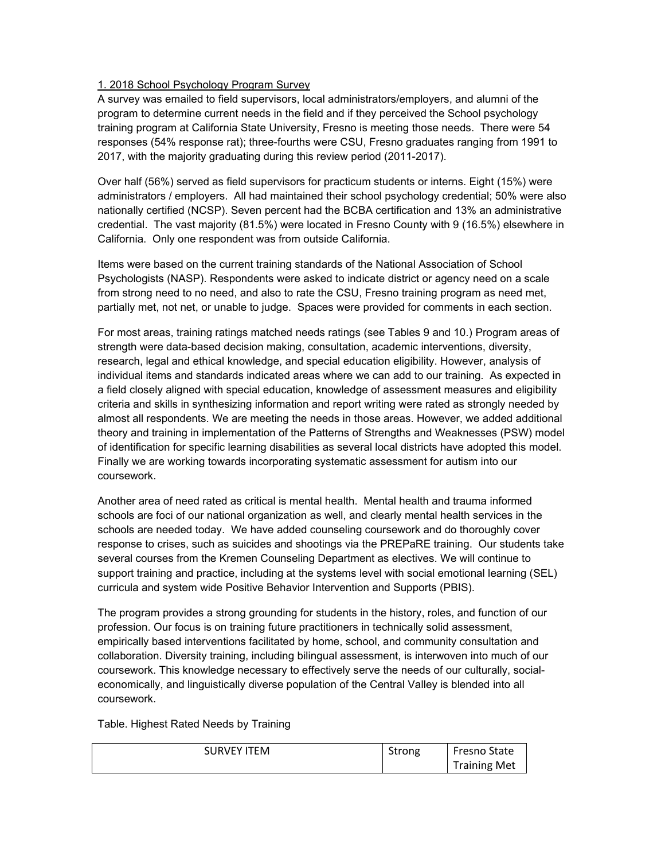## 1. 2018 School Psychology Program Survey

A survey was emailed to field supervisors, local administrators/employers, and alumni of the program to determine current needs in the field and if they perceived the School psychology training program at California State University, Fresno is meeting those needs. There were 54 responses (54% response rat); three-fourths were CSU, Fresno graduates ranging from 1991 to 2017, with the majority graduating during this review period (2011-2017).

Over half (56%) served as field supervisors for practicum students or interns. Eight (15%) were administrators / employers. All had maintained their school psychology credential; 50% were also nationally certified (NCSP). Seven percent had the BCBA certification and 13% an administrative credential. The vast majority (81.5%) were located in Fresno County with 9 (16.5%) elsewhere in California. Only one respondent was from outside California.

Items were based on the current training standards of the National Association of School Psychologists (NASP). Respondents were asked to indicate district or agency need on a scale from strong need to no need, and also to rate the CSU, Fresno training program as need met, partially met, not net, or unable to judge. Spaces were provided for comments in each section.

For most areas, training ratings matched needs ratings (see Tables 9 and 10.) Program areas of strength were data-based decision making, consultation, academic interventions, diversity, research, legal and ethical knowledge, and special education eligibility. However, analysis of individual items and standards indicated areas where we can add to our training. As expected in a field closely aligned with special education, knowledge of assessment measures and eligibility criteria and skills in synthesizing information and report writing were rated as strongly needed by almost all respondents. We are meeting the needs in those areas. However, we added additional theory and training in implementation of the Patterns of Strengths and Weaknesses (PSW) model of identification for specific learning disabilities as several local districts have adopted this model. Finally we are working towards incorporating systematic assessment for autism into our coursework.

Another area of need rated as critical is mental health. Mental health and trauma informed schools are foci of our national organization as well, and clearly mental health services in the schools are needed today. We have added counseling coursework and do thoroughly cover response to crises, such as suicides and shootings via the PREPaRE training. Our students take several courses from the Kremen Counseling Department as electives. We will continue to support training and practice, including at the systems level with social emotional learning (SEL) curricula and system wide Positive Behavior Intervention and Supports (PBIS).

The program provides a strong grounding for students in the history, roles, and function of our profession. Our focus is on training future practitioners in technically solid assessment, empirically based interventions facilitated by home, school, and community consultation and collaboration. Diversity training, including bilingual assessment, is interwoven into much of our coursework. This knowledge necessary to effectively serve the needs of our culturally, socialeconomically, and linguistically diverse population of the Central Valley is blended into all coursework.

Table. Highest Rated Needs by Training

| <b>SURVEY ITEM</b> | Strong | <b>Fresno State</b> |
|--------------------|--------|---------------------|
|                    |        | <b>Training Met</b> |